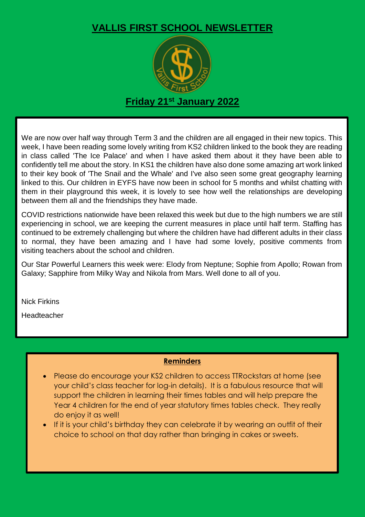## **VALLIS FIRST SCHOOL NEWSLETTER**



We are now over half way through Term 3 and the children are all engaged in their new topics. This week, I have been reading some lovely writing from KS2 children linked to the book they are reading in class called 'The Ice Palace' and when I have asked them about it they have been able to confidently tell me about the story. In KS1 the children have also done some amazing art work linked to their key book of 'The Snail and the Whale' and I've also seen some great geography learning linked to this. Our children in EYFS have now been in school for 5 months and whilst chatting with them in their playground this week, it is lovely to see how well the relationships are developing between them all and the friendships they have made.

COVID restrictions nationwide have been relaxed this week but due to the high numbers we are still experiencing in school, we are keeping the current measures in place until half term. Staffing has continued to be extremely challenging but where the children have had different adults in their class to normal, they have been amazing and I have had some lovely, positive comments from visiting teachers about the school and children.

Our Star Powerful Learners this week were: Elody from Neptune; Sophie from Apollo; Rowan from Galaxy; Sapphire from Milky Way and Nikola from Mars. Well done to all of you.

Nick Firkins

Headteacher

## **Reminders**

- Please do encourage your KS2 children to access TTRockstars at home (see your child's class teacher for log-in details). It is a fabulous resource that will support the children in learning their times tables and will help prepare the Year 4 children for the end of year statutory times tables check. They really do enjoy it as well!
- If it is your child's birthday they can celebrate it by wearing an outfit of their choice to school on that day rather than bringing in cakes or sweets.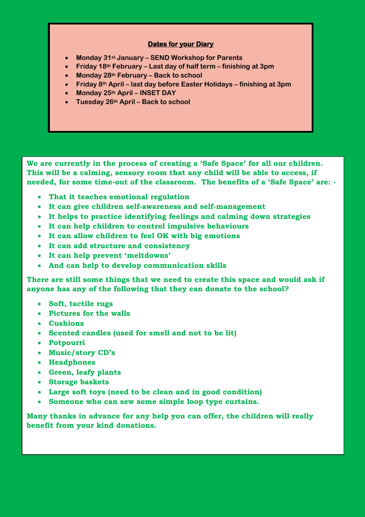## **Dates for your Diary**

- **Monday 31st January – SEND Workshop for Parents**
- **Friday 18th February – Last day of half term – finishing at 3pm**
- **Monday 28th February – Back to school**
- **Friday 8th April – last day before Easter Holidays – finishing at 3pm**
- **Monday 25th April – INSET DAY**
- **Tuesday 26th April – Back to school**

 **We are currently in the process of creating a 'Safe Space' for all our children. needed, for some time-out of the classroom. The benefits of a 'Safe Space' are: - This will be a calming, sensory room that any child will be able to access, if** 

- **That it teaches emotional regulation**
- **It can give children self-awareness and self-management**
- **It helps to practice identifying feelings and calming down strategies**
- **It can help children to control impulsive behaviours**
- **It can allow children to feel OK with big emotions**
- **It can add structure and consistency**
- **It can help prevent 'meltdowns'**
- **And can help to develop communication skills**

**There are still some things that we need to create this space and would ask if anyone has any of the following that they can donate to the school?**

- **Soft, tactile rugs**
- **Pictures for the walls**
- **Cushions**
- **Scented candles (used for smell and not to be lit)**
- **Potpourri**
- **Music/story CD's**
- **Headphones**
- **Green, leafy plants**
- **Storage baskets**
- **Large soft toys (need to be clean and in good condition)**
- **Someone who can sew some simple loop type curtains.**

**Many thanks in advance for any help you can offer, the children will really benefit from your kind donations.**